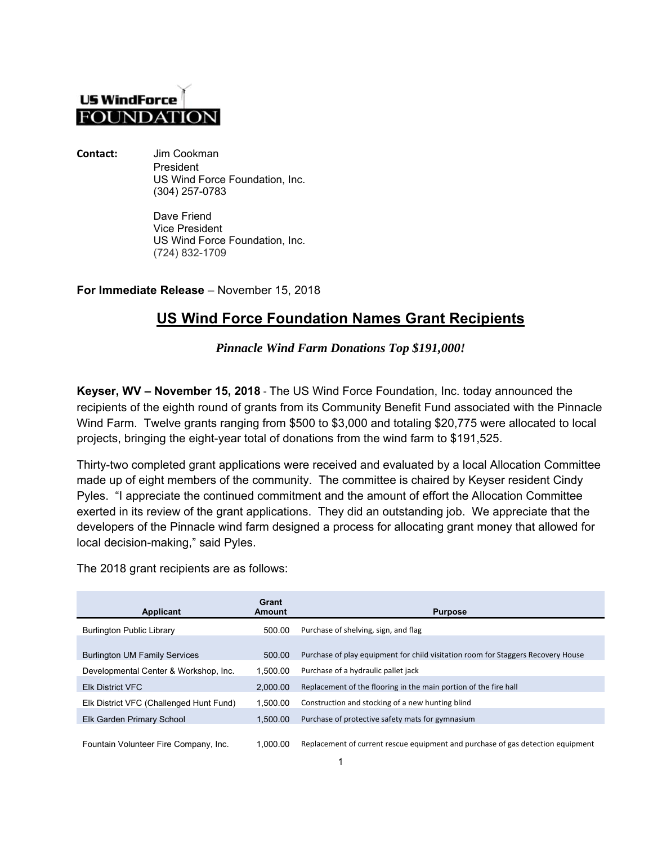## **US WindForce FOUNDATION**

**Contact:** Jim Cookman President US Wind Force Foundation, Inc. (304) 257-0783

> Dave Friend Vice President US Wind Force Foundation, Inc. (724) 832-1709

**For Immediate Release** – November 15, 2018

## **US Wind Force Foundation Names Grant Recipients**

*Pinnacle Wind Farm Donations Top \$191,000!* 

**Keyser, WV – November 15, 2018** ‐ The US Wind Force Foundation, Inc. today announced the recipients of the eighth round of grants from its Community Benefit Fund associated with the Pinnacle Wind Farm. Twelve grants ranging from \$500 to \$3,000 and totaling \$20,775 were allocated to local projects, bringing the eight-year total of donations from the wind farm to \$191,525.

Thirty-two completed grant applications were received and evaluated by a local Allocation Committee made up of eight members of the community. The committee is chaired by Keyser resident Cindy Pyles. "I appreciate the continued commitment and the amount of effort the Allocation Committee exerted in its review of the grant applications. They did an outstanding job. We appreciate that the developers of the Pinnacle wind farm designed a process for allocating grant money that allowed for local decision-making," said Pyles.

The 2018 grant recipients are as follows:

| Applicant                               | Grant<br>Amount | <b>Purpose</b>                                                                   |
|-----------------------------------------|-----------------|----------------------------------------------------------------------------------|
| <b>Burlington Public Library</b>        | 500.00          | Purchase of shelving, sign, and flag                                             |
| <b>Burlington UM Family Services</b>    | 500.00          | Purchase of play equipment for child visitation room for Staggers Recovery House |
| Developmental Center & Workshop, Inc.   | 1.500.00        | Purchase of a hydraulic pallet jack                                              |
| <b>Elk District VFC</b>                 | 2.000.00        | Replacement of the flooring in the main portion of the fire hall                 |
| Elk District VFC (Challenged Hunt Fund) | 1.500.00        | Construction and stocking of a new hunting blind                                 |
| Elk Garden Primary School               | 1.500.00        | Purchase of protective safety mats for gymnasium                                 |
| Fountain Volunteer Fire Company, Inc.   | 1.000.00        | Replacement of current rescue equipment and purchase of gas detection equipment  |